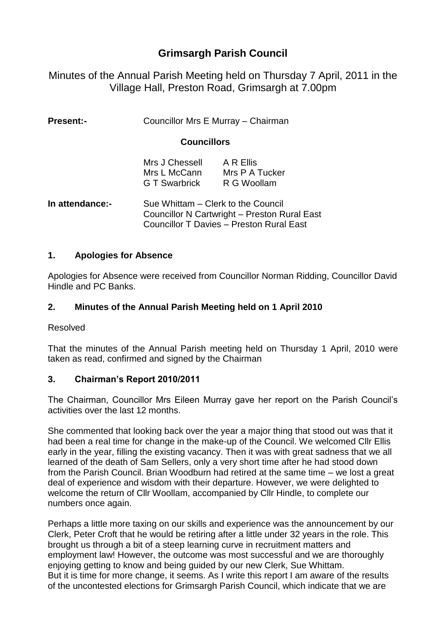# **Grimsargh Parish Council**

Minutes of the Annual Parish Meeting held on Thursday 7 April, 2011 in the Village Hall, Preston Road, Grimsargh at 7.00pm

| <b>Present:-</b> | Councillor Mrs E Murray - Chairman |
|------------------|------------------------------------|
|------------------|------------------------------------|

#### **Councillors**

| Mrs J Chessell       | A R Ellis      |
|----------------------|----------------|
| Mrs L McCann         | Mrs P A Tucker |
| <b>G T Swarbrick</b> | R G Woollam    |

**In attendance:-** Sue Whittam – Clerk to the Council Councillor N Cartwright – Preston Rural East Councillor T Davies – Preston Rural East

### **1. Apologies for Absence**

Apologies for Absence were received from Councillor Norman Ridding, Councillor David Hindle and PC Banks.

### **2. Minutes of the Annual Parish Meeting held on 1 April 2010**

Resolved

That the minutes of the Annual Parish meeting held on Thursday 1 April, 2010 were taken as read, confirmed and signed by the Chairman

### **3. Chairman's Report 2010/2011**

The Chairman, Councillor Mrs Eileen Murray gave her report on the Parish Council's activities over the last 12 months.

She commented that looking back over the year a major thing that stood out was that it had been a real time for change in the make-up of the Council. We welcomed Cllr Ellis early in the year, filling the existing vacancy. Then it was with great sadness that we all learned of the death of Sam Sellers, only a very short time after he had stood down from the Parish Council. Brian Woodburn had retired at the same time – we lost a great deal of experience and wisdom with their departure. However, we were delighted to welcome the return of Cllr Woollam, accompanied by Cllr Hindle, to complete our numbers once again.

Perhaps a little more taxing on our skills and experience was the announcement by our Clerk, Peter Croft that he would be retiring after a little under 32 years in the role. This brought us through a bit of a steep learning curve in recruitment matters and employment law! However, the outcome was most successful and we are thoroughly enjoying getting to know and being guided by our new Clerk, Sue Whittam. But it is time for more change, it seems. As I write this report I am aware of the results of the uncontested elections for Grimsargh Parish Council, which indicate that we are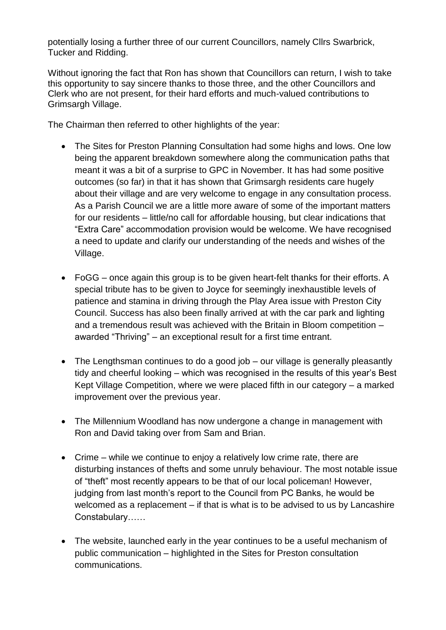potentially losing a further three of our current Councillors, namely Cllrs Swarbrick, Tucker and Ridding.

Without ignoring the fact that Ron has shown that Councillors can return, I wish to take this opportunity to say sincere thanks to those three, and the other Councillors and Clerk who are not present, for their hard efforts and much-valued contributions to Grimsargh Village.

The Chairman then referred to other highlights of the year:

- The Sites for Preston Planning Consultation had some highs and lows. One low being the apparent breakdown somewhere along the communication paths that meant it was a bit of a surprise to GPC in November. It has had some positive outcomes (so far) in that it has shown that Grimsargh residents care hugely about their village and are very welcome to engage in any consultation process. As a Parish Council we are a little more aware of some of the important matters for our residents – little/no call for affordable housing, but clear indications that "Extra Care" accommodation provision would be welcome. We have recognised a need to update and clarify our understanding of the needs and wishes of the Village.
- FoGG once again this group is to be given heart-felt thanks for their efforts. A special tribute has to be given to Joyce for seemingly inexhaustible levels of patience and stamina in driving through the Play Area issue with Preston City Council. Success has also been finally arrived at with the car park and lighting and a tremendous result was achieved with the Britain in Bloom competition – awarded "Thriving" – an exceptional result for a first time entrant.
- The Lengthsman continues to do a good job our village is generally pleasantly tidy and cheerful looking – which was recognised in the results of this year's Best Kept Village Competition, where we were placed fifth in our category – a marked improvement over the previous year.
- The Millennium Woodland has now undergone a change in management with Ron and David taking over from Sam and Brian.
- Crime while we continue to enjoy a relatively low crime rate, there are disturbing instances of thefts and some unruly behaviour. The most notable issue of "theft" most recently appears to be that of our local policeman! However, judging from last month's report to the Council from PC Banks, he would be welcomed as a replacement – if that is what is to be advised to us by Lancashire Constabulary……
- The website, launched early in the year continues to be a useful mechanism of public communication – highlighted in the Sites for Preston consultation communications.